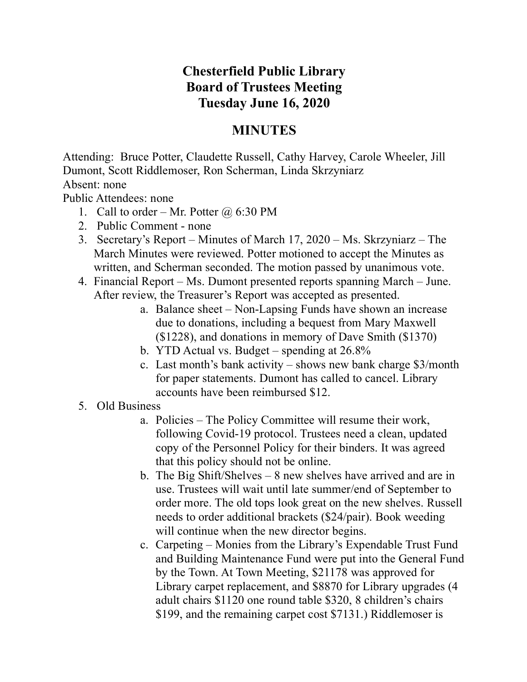## **Chesterfield Public Library Board of Trustees Meeting Tuesday June 16, 2020**

## **MINUTES**

Attending: Bruce Potter, Claudette Russell, Cathy Harvey, Carole Wheeler, Jill Dumont, Scott Riddlemoser, Ron Scherman, Linda Skrzyniarz

Absent: none

Public Attendees: none

- 1. Call to order Mr. Potter  $\omega$  6:30 PM
- 2. Public Comment none
- 3. Secretary's Report Minutes of March 17, 2020 Ms. Skrzyniarz The March Minutes were reviewed. Potter motioned to accept the Minutes as written, and Scherman seconded. The motion passed by unanimous vote.
- 4. Financial Report Ms. Dumont presented reports spanning March June. After review, the Treasurer's Report was accepted as presented.
	- a. Balance sheet Non-Lapsing Funds have shown an increase due to donations, including a bequest from Mary Maxwell (\$1228), and donations in memory of Dave Smith (\$1370)
	- b. YTD Actual vs. Budget spending at 26.8%
	- c. Last month's bank activity shows new bank charge \$3/month for paper statements. Dumont has called to cancel. Library accounts have been reimbursed \$12.
- 5. Old Business
	- a. Policies The Policy Committee will resume their work, following Covid-19 protocol. Trustees need a clean, updated copy of the Personnel Policy for their binders. It was agreed that this policy should not be online.
	- b. The Big Shift/Shelves 8 new shelves have arrived and are in use. Trustees will wait until late summer/end of September to order more. The old tops look great on the new shelves. Russell needs to order additional brackets (\$24/pair). Book weeding will continue when the new director begins.
	- c. Carpeting Monies from the Library's Expendable Trust Fund and Building Maintenance Fund were put into the General Fund by the Town. At Town Meeting, \$21178 was approved for Library carpet replacement, and \$8870 for Library upgrades (4 adult chairs \$1120 one round table \$320, 8 children's chairs \$199, and the remaining carpet cost \$7131.) Riddlemoser is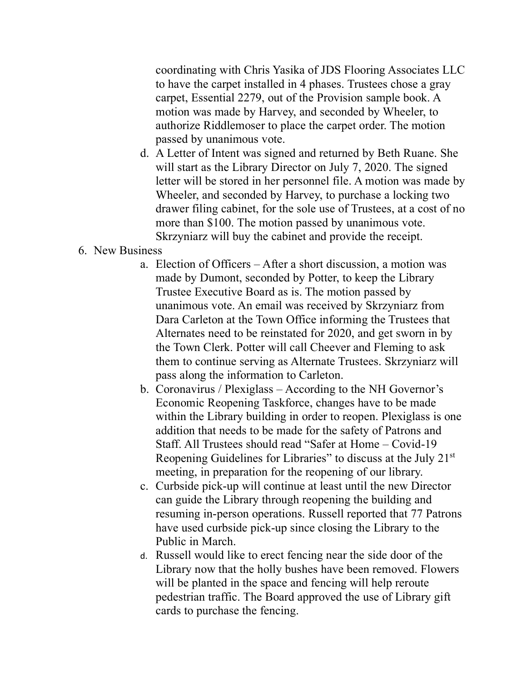coordinating with Chris Yasika of JDS Flooring Associates LLC to have the carpet installed in 4 phases. Trustees chose a gray carpet, Essential 2279, out of the Provision sample book. A motion was made by Harvey, and seconded by Wheeler, to authorize Riddlemoser to place the carpet order. The motion passed by unanimous vote.

d. A Letter of Intent was signed and returned by Beth Ruane. She will start as the Library Director on July 7, 2020. The signed letter will be stored in her personnel file. A motion was made by Wheeler, and seconded by Harvey, to purchase a locking two drawer filing cabinet, for the sole use of Trustees, at a cost of no more than \$100. The motion passed by unanimous vote. Skrzyniarz will buy the cabinet and provide the receipt.

## 6. New Business

- a. Election of Officers After a short discussion, a motion was made by Dumont, seconded by Potter, to keep the Library Trustee Executive Board as is. The motion passed by unanimous vote. An email was received by Skrzyniarz from Dara Carleton at the Town Office informing the Trustees that Alternates need to be reinstated for 2020, and get sworn in by the Town Clerk. Potter will call Cheever and Fleming to ask them to continue serving as Alternate Trustees. Skrzyniarz will pass along the information to Carleton.
- b. Coronavirus / Plexiglass According to the NH Governor's Economic Reopening Taskforce, changes have to be made within the Library building in order to reopen. Plexiglass is one addition that needs to be made for the safety of Patrons and Staff. All Trustees should read "Safer at Home – Covid-19 Reopening Guidelines for Libraries" to discuss at the July 21st meeting, in preparation for the reopening of our library.
- c. Curbside pick-up will continue at least until the new Director can guide the Library through reopening the building and resuming in-person operations. Russell reported that 77 Patrons have used curbside pick-up since closing the Library to the Public in March.
- d. Russell would like to erect fencing near the side door of the Library now that the holly bushes have been removed. Flowers will be planted in the space and fencing will help reroute pedestrian traffic. The Board approved the use of Library gift cards to purchase the fencing.